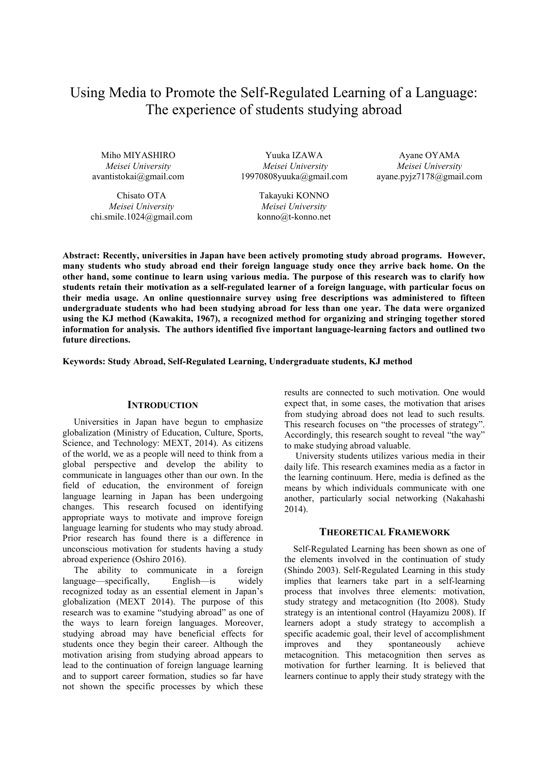# Using Media to Promote the Self-Regulated Learning of a Language: The experience of students studying abroad

Miho MIYASHIRO *Meisei University*  avantistokai@gmail.com

Chisato OTA *Meisei University*  chi.smile.1024@gmail.com

Yuuka IZAWA *Meisei University* 19970808yuuka@gmail.com

> Takayuki KONNO *Meisei University*  konno@t-konno.net

Ayane OYAMA *Meisei University*  ayane.pyjz7178@gmail.com

**Abstract: Recently, universities in Japan have been actively promoting study abroad programs. However, many students who study abroad end their foreign language study once they arrive back home. On the other hand, some continue to learn using various media. The purpose of this research was to clarify how students retain their motivation as a self-regulated learner of a foreign language, with particular focus on their media usage. An online questionnaire survey using free descriptions was administered to fifteen undergraduate students who had been studying abroad for less than one year. The data were organized using the KJ method (Kawakita, 1967), a recognized method for organizing and stringing together stored information for analysis. The authors identified five important language-learning factors and outlined two future directions.** 

**Keywords: Study Abroad, Self-Regulated Learning, Undergraduate students, KJ method** 

## **INTRODUCTION**

Universities in Japan have begun to emphasize globalization (Ministry of Education, Culture, Sports, Science, and Technology: MEXT, 2014). As citizens of the world, we as a people will need to think from a global perspective and develop the ability to communicate in languages other than our own. In the field of education, the environment of foreign language learning in Japan has been undergoing changes. This research focused on identifying appropriate ways to motivate and improve foreign language learning for students who may study abroad. Prior research has found there is a difference in unconscious motivation for students having a study abroad experience (Oshiro 2016).

The ability to communicate in a foreign language—specifically, English—is widely recognized today as an essential element in Japan's globalization (MEXT 2014). The purpose of this research was to examine "studying abroad" as one of the ways to learn foreign languages. Moreover, studying abroad may have beneficial effects for students once they begin their career. Although the motivation arising from studying abroad appears to lead to the continuation of foreign language learning and to support career formation, studies so far have not shown the specific processes by which these results are connected to such motivation. One would expect that, in some cases, the motivation that arises from studying abroad does not lead to such results. This research focuses on "the processes of strategy". Accordingly, this research sought to reveal "the way" to make studying abroad valuable.

University students utilizes various media in their daily life. This research examines media as a factor in the learning continuum. Here, media is defined as the means by which individuals communicate with one another, particularly social networking (Nakahashi 2014).

## **THEORETICAL FRAMEWORK**

 Self-Regulated Learning has been shown as one of the elements involved in the continuation of study (Shindo 2003). Self-Regulated Learning in this study implies that learners take part in a self-learning process that involves three elements: motivation, study strategy and metacognition (Ito 2008). Study strategy is an intentional control (Hayamizu 2008). If learners adopt a study strategy to accomplish a specific academic goal, their level of accomplishment improves and they spontaneously achieve metacognition. This metacognition then serves as motivation for further learning. It is believed that learners continue to apply their study strategy with the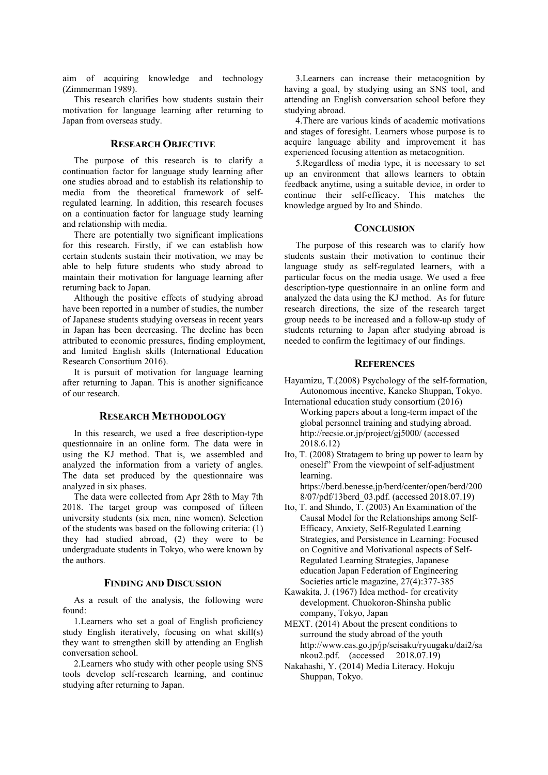aim of acquiring knowledge and technology (Zimmerman 1989).

This research clarifies how students sustain their motivation for language learning after returning to Japan from overseas study.

### **RESEARCH OBJECTIVE**

The purpose of this research is to clarify a continuation factor for language study learning after one studies abroad and to establish its relationship to media from the theoretical framework of selfregulated learning. In addition, this research focuses on a continuation factor for language study learning and relationship with media.

There are potentially two significant implications for this research. Firstly, if we can establish how certain students sustain their motivation, we may be able to help future students who study abroad to maintain their motivation for language learning after returning back to Japan.

Although the positive effects of studying abroad have been reported in a number of studies, the number of Japanese students studying overseas in recent years in Japan has been decreasing. The decline has been attributed to economic pressures, finding employment, and limited English skills (International Education Research Consortium 2016).

It is pursuit of motivation for language learning after returning to Japan. This is another significance of our research.

## **RESEARCH METHODOLOGY**

In this research, we used a free description-type questionnaire in an online form. The data were in using the KJ method. That is, we assembled and analyzed the information from a variety of angles. The data set produced by the questionnaire was analyzed in six phases.

The data were collected from Apr 28th to May 7th 2018. The target group was composed of fifteen university students (six men, nine women). Selection of the students was based on the following criteria: (1) they had studied abroad, (2) they were to be undergraduate students in Tokyo, who were known by the authors.

## **FINDING AND DISCUSSION**

As a result of the analysis, the following were found:

1.Learners who set a goal of English proficiency study English iteratively, focusing on what skill(s) they want to strengthen skill by attending an English conversation school.

2.Learners who study with other people using SNS tools develop self-research learning, and continue studying after returning to Japan.

3.Learners can increase their metacognition by having a goal, by studying using an SNS tool, and attending an English conversation school before they studying abroad.

4.There are various kinds of academic motivations and stages of foresight. Learners whose purpose is to acquire language ability and improvement it has experienced focusing attention as metacognition.

5.Regardless of media type, it is necessary to set up an environment that allows learners to obtain feedback anytime, using a suitable device, in order to continue their self-efficacy. This matches the knowledge argued by Ito and Shindo.

## **CONCLUSION**

The purpose of this research was to clarify how students sustain their motivation to continue their language study as self-regulated learners, with a particular focus on the media usage. We used a free description-type questionnaire in an online form and analyzed the data using the KJ method. As for future research directions, the size of the research target group needs to be increased and a follow-up study of students returning to Japan after studying abroad is needed to confirm the legitimacy of our findings.

#### **REFERENCES**

- Hayamizu, T.(2008) Psychology of the self-formation, Autonomous incentive, Kaneko Shuppan, Tokyo.
- International education study consortium (2016) Working papers about a long-term impact of the global personnel training and studying abroad. http://recsie.or.jp/project/gj5000/ (accessed 2018.6.12)
- Ito, T. (2008) Stratagem to bring up power to learn by oneself" From the viewpoint of self-adjustment learning. https://berd.benesse.jp/berd/center/open/berd/200

8/07/pdf/13berd\_03.pdf. (accessed 2018.07.19)

- Ito, T. and Shindo, T. (2003) An Examination of the Causal Model for the Relationships among Self-Efficacy, Anxiety, Self-Regulated Learning Strategies, and Persistence in Learning: Focused on Cognitive and Motivational aspects of Self-Regulated Learning Strategies, Japanese education Japan Federation of Engineering Societies article magazine, 27(4):377-385
- Kawakita, J. (1967) Idea method- for creativity development. Chuokoron-Shinsha public company, Tokyo, Japan
- MEXT. (2014) About the present conditions to surround the study abroad of the youth http://www.cas.go.jp/jp/seisaku/ryuugaku/dai2/sa nkou2.pdf. (accessed 2018.07.19)
- Nakahashi, Y. (2014) Media Literacy. Hokuju Shuppan, Tokyo.